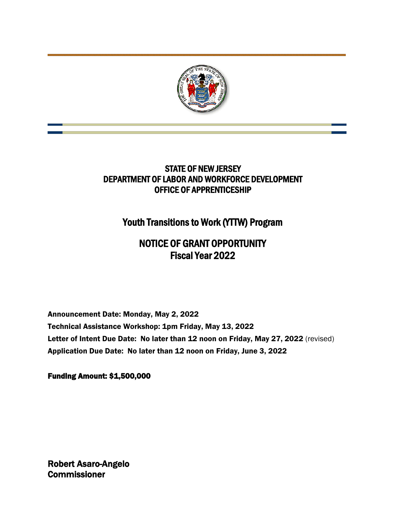

## STATE OF NEW JERSEY DEPARTMENT OF LABOR AND WORKFORCE DEVELOPMENT OFFICE OF APPRENTICESHIP

# Youth Transitions to Work (YTTW) Program

# NOTICE OF GRANT OPPORTUNITY Fiscal Year 2022

Announcement Date: Monday, May 2, 2022 Technical Assistance Workshop: 1pm Friday, May 13, 2022 Letter of Intent Due Date: No later than 12 noon on Friday, May 27, 2022 (revised) Application Due Date: No later than 12 noon on Friday, June 3, 2022

Funding Amount: \$1,500,000

Robert Asaro-Angelo **Commissioner**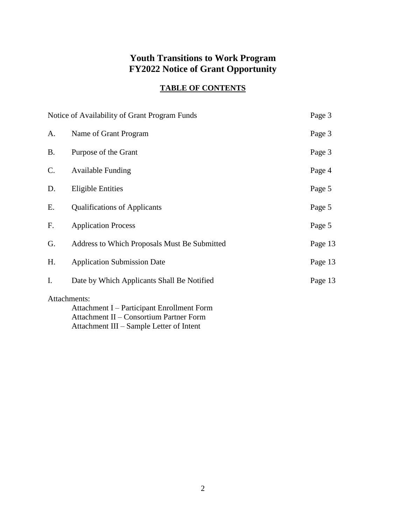## **Youth Transitions to Work Program FY2022 Notice of Grant Opportunity**

## **TABLE OF CONTENTS**

|           | Notice of Availability of Grant Program Funds                                                         | Page 3  |
|-----------|-------------------------------------------------------------------------------------------------------|---------|
| A.        | Name of Grant Program                                                                                 | Page 3  |
| <b>B.</b> | Purpose of the Grant                                                                                  | Page 3  |
| C.        | <b>Available Funding</b>                                                                              | Page 4  |
| D.        | <b>Eligible Entities</b>                                                                              | Page 5  |
| Ε.        | <b>Qualifications of Applicants</b>                                                                   | Page 5  |
| F.        | <b>Application Process</b>                                                                            | Page 5  |
| G.        | Address to Which Proposals Must Be Submitted                                                          | Page 13 |
| H.        | <b>Application Submission Date</b>                                                                    | Page 13 |
| I.        | Date by Which Applicants Shall Be Notified                                                            | Page 13 |
|           | Attachments:<br>Attachment I – Participant Enrollment Form<br>Attachment II - Consortium Partner Form |         |

Attachment III – Sample Letter of Intent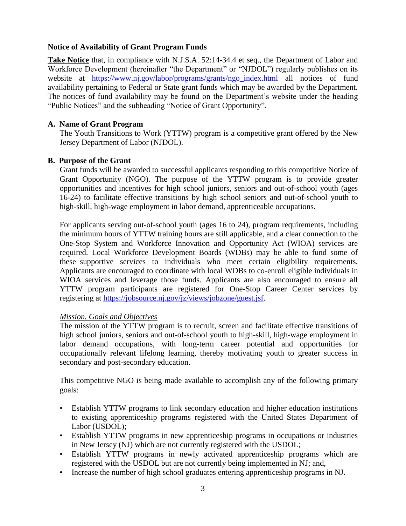#### **Notice of Availability of Grant Program Funds**

**Take Notice** that, in compliance with N.J.S.A. 52:14-34.4 et seq., the Department of Labor and Workforce Development (hereinafter "the Department" or "NJDOL") regularly publishes on its website at [https://www.nj.gov/labor/programs/grants/ngo\\_index.html](https://www.nj.gov/labor/programs/grants/ngo_index.html) all notices of fund availability pertaining to Federal or State grant funds which may be awarded by the Department. The notices of fund availability may be found on the Department's website under the heading "Public Notices" and the subheading "Notice of Grant Opportunity".

#### **A. Name of Grant Program**

The Youth Transitions to Work (YTTW) program is a competitive grant offered by the New Jersey Department of Labor (NJDOL).

#### **B. Purpose of the Grant**

Grant funds will be awarded to successful applicants responding to this competitive Notice of Grant Opportunity (NGO). The purpose of the YTTW program is to provide greater opportunities and incentives for high school juniors, seniors and out-of-school youth (ages 16-24) to facilitate effective transitions by high school seniors and out-of-school youth to high-skill, high-wage employment in labor demand, apprenticeable occupations.

For applicants serving out-of-school youth (ages 16 to 24), program requirements, including the minimum hours of YTTW training hours are still applicable, and a clear connection to the One-Stop System and Workforce Innovation and Opportunity Act (WIOA) services are required. Local Workforce Development Boards (WDBs) may be able to fund some of these supportive services to individuals who meet certain eligibility requirements. Applicants are encouraged to coordinate with local WDBs to co-enroll eligible individuals in WIOA services and leverage those funds. Applicants are also encouraged to ensure all YTTW program participants are registered for One-Stop Career Center services by registering at [https://jobsource.nj.gov/jz/views/jobzone/guest.jsf.](https://jobsource.nj.gov/jz/views/jobzone/guest.jsf)

#### *Mission, Goals and Objectives*

The mission of the YTTW program is to recruit, screen and facilitate effective transitions of high school juniors, seniors and out-of-school youth to high-skill, high-wage employment in labor demand occupations, with long-term career potential and opportunities for occupationally relevant lifelong learning, thereby motivating youth to greater success in secondary and post-secondary education.

This competitive NGO is being made available to accomplish any of the following primary goals:

- Establish YTTW programs to link secondary education and higher education institutions to existing apprenticeship programs registered with the United States Department of Labor (USDOL);
- Establish YTTW programs in new apprenticeship programs in occupations or industries in New Jersey (NJ) which are not currently registered with the USDOL;
- Establish YTTW programs in newly activated apprenticeship programs which are registered with the USDOL but are not currently being implemented in NJ; and,
- Increase the number of high school graduates entering apprenticeship programs in NJ.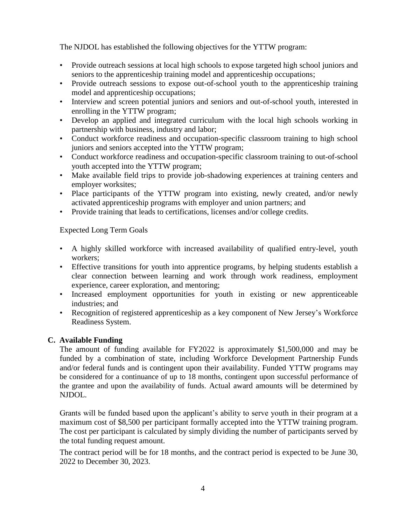The NJDOL has established the following objectives for the YTTW program:

- Provide outreach sessions at local high schools to expose targeted high school juniors and seniors to the apprenticeship training model and apprenticeship occupations;
- Provide outreach sessions to expose out-of-school youth to the apprenticeship training model and apprenticeship occupations;
- Interview and screen potential juniors and seniors and out-of-school youth, interested in enrolling in the YTTW program;
- Develop an applied and integrated curriculum with the local high schools working in partnership with business, industry and labor;
- Conduct workforce readiness and occupation-specific classroom training to high school juniors and seniors accepted into the YTTW program;
- Conduct workforce readiness and occupation-specific classroom training to out-of-school youth accepted into the YTTW program;
- Make available field trips to provide job-shadowing experiences at training centers and employer worksites;
- Place participants of the YTTW program into existing, newly created, and/or newly activated apprenticeship programs with employer and union partners; and
- Provide training that leads to certifications, licenses and/or college credits.

Expected Long Term Goals

- A highly skilled workforce with increased availability of qualified entry-level, youth workers;
- Effective transitions for youth into apprentice programs, by helping students establish a clear connection between learning and work through work readiness, employment experience, career exploration, and mentoring;
- Increased employment opportunities for youth in existing or new apprenticeable industries; and
- Recognition of registered apprenticeship as a key component of New Jersey's Workforce Readiness System.

## **C. Available Funding**

The amount of funding available for FY2022 is approximately \$1,500,000 and may be funded by a combination of state, including Workforce Development Partnership Funds and/or federal funds and is contingent upon their availability. Funded YTTW programs may be considered for a continuance of up to 18 months, contingent upon successful performance of the grantee and upon the availability of funds. Actual award amounts will be determined by NJDOL.

Grants will be funded based upon the applicant's ability to serve youth in their program at a maximum cost of \$8,500 per participant formally accepted into the YTTW training program. The cost per participant is calculated by simply dividing the number of participants served by the total funding request amount.

The contract period will be for 18 months, and the contract period is expected to be June 30, 2022 to December 30, 2023.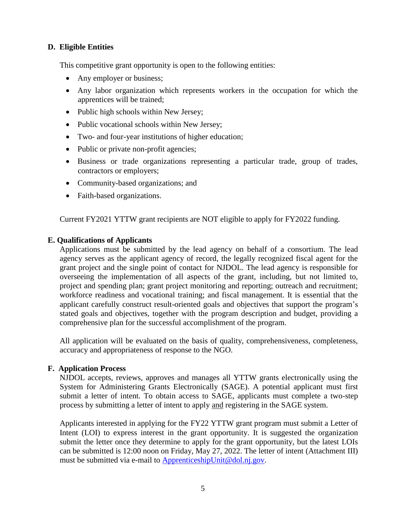#### **D. Eligible Entities**

This competitive grant opportunity is open to the following entities:

- Any employer or business;
- Any labor organization which represents workers in the occupation for which the apprentices will be trained;
- Public high schools within New Jersey;
- Public vocational schools within New Jersey;
- Two- and four-year institutions of higher education;
- Public or private non-profit agencies;
- Business or trade organizations representing a particular trade, group of trades, contractors or employers;
- Community-based organizations; and
- Faith-based organizations.

Current FY2021 YTTW grant recipients are NOT eligible to apply for FY2022 funding.

#### **E. Qualifications of Applicants**

Applications must be submitted by the lead agency on behalf of a consortium. The lead agency serves as the applicant agency of record, the legally recognized fiscal agent for the grant project and the single point of contact for NJDOL. The lead agency is responsible for overseeing the implementation of all aspects of the grant, including, but not limited to, project and spending plan; grant project monitoring and reporting; outreach and recruitment; workforce readiness and vocational training; and fiscal management. It is essential that the applicant carefully construct result-oriented goals and objectives that support the program's stated goals and objectives, together with the program description and budget, providing a comprehensive plan for the successful accomplishment of the program.

All application will be evaluated on the basis of quality, comprehensiveness, completeness, accuracy and appropriateness of response to the NGO.

#### **F. Application Process**

NJDOL accepts, reviews, approves and manages all YTTW grants electronically using the System for Administering Grants Electronically (SAGE). A potential applicant must first submit a letter of intent. To obtain access to SAGE, applicants must complete a two-step process by submitting a letter of intent to apply and registering in the SAGE system.

Applicants interested in applying for the FY22 YTTW grant program must submit a Letter of Intent (LOI) to express interest in the grant opportunity. It is suggested the organization submit the letter once they determine to apply for the grant opportunity, but the latest LOIs can be submitted is 12:00 noon on Friday, May 27, 2022. The letter of intent (Attachment III) must be submitted via e-mail to [ApprenticeshipUnit@dol.nj.gov.](mailto:ApprenticeshipUnit@dol.nj.gov)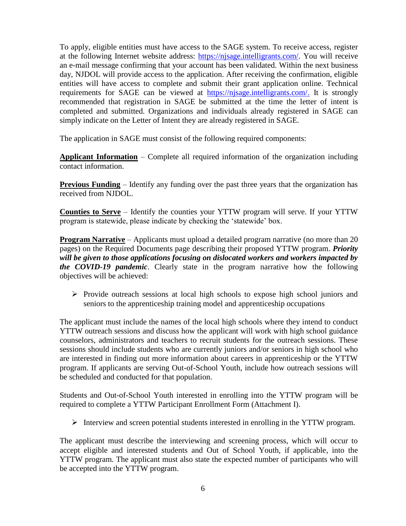To apply, eligible entities must have access to the SAGE system. To receive access, register at the following Internet website address: [https://njsage.intelligrants.com/.](https://njsage.intelligrants.com/) You will receive an e-mail message confirming that your account has been validated. Within the next business day, NJDOL will provide access to the application. After receiving the confirmation, eligible entities will have access to complete and submit their grant application online. Technical requirements for SAGE can be viewed at [https://njsage.intelligrants.com/.](https://njsage.intelligrants.com/) It is strongly recommended that registration in SAGE be submitted at the time the letter of intent is completed and submitted. Organizations and individuals already registered in SAGE can simply indicate on the Letter of Intent they are already registered in SAGE.

The application in SAGE must consist of the following required components:

**Applicant Information** – Complete all required information of the organization including contact information.

**Previous Funding** – Identify any funding over the past three years that the organization has received from NJDOL.

**Counties to Serve** – Identify the counties your YTTW program will serve. If your YTTW program is statewide, please indicate by checking the 'statewide' box.

**Program Narrative** – Applicants must upload a detailed program narrative (no more than 20 pages) on the Required Documents page describing their proposed YTTW program. *Priority will be given to those applications focusing on dislocated workers and workers impacted by the COVID-19 pandemic*. Clearly state in the program narrative how the following objectives will be achieved:

➢ Provide outreach sessions at local high schools to expose high school juniors and seniors to the apprenticeship training model and apprenticeship occupations

The applicant must include the names of the local high schools where they intend to conduct YTTW outreach sessions and discuss how the applicant will work with high school guidance counselors, administrators and teachers to recruit students for the outreach sessions. These sessions should include students who are currently juniors and/or seniors in high school who are interested in finding out more information about careers in apprenticeship or the YTTW program. If applicants are serving Out-of-School Youth, include how outreach sessions will be scheduled and conducted for that population.

Students and Out-of-School Youth interested in enrolling into the YTTW program will be required to complete a YTTW Participant Enrollment Form (Attachment I).

➢ Interview and screen potential students interested in enrolling in the YTTW program.

The applicant must describe the interviewing and screening process, which will occur to accept eligible and interested students and Out of School Youth, if applicable, into the YTTW program. The applicant must also state the expected number of participants who will be accepted into the YTTW program.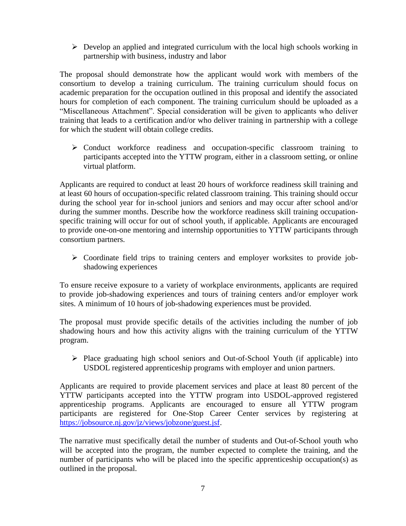➢ Develop an applied and integrated curriculum with the local high schools working in partnership with business, industry and labor

The proposal should demonstrate how the applicant would work with members of the consortium to develop a training curriculum. The training curriculum should focus on academic preparation for the occupation outlined in this proposal and identify the associated hours for completion of each component. The training curriculum should be uploaded as a "Miscellaneous Attachment". Special consideration will be given to applicants who deliver training that leads to a certification and/or who deliver training in partnership with a college for which the student will obtain college credits.

➢ Conduct workforce readiness and occupation-specific classroom training to participants accepted into the YTTW program, either in a classroom setting, or online virtual platform.

Applicants are required to conduct at least 20 hours of workforce readiness skill training and at least 60 hours of occupation-specific related classroom training. This training should occur during the school year for in-school juniors and seniors and may occur after school and/or during the summer months. Describe how the workforce readiness skill training occupationspecific training will occur for out of school youth, if applicable. Applicants are encouraged to provide one-on-one mentoring and internship opportunities to YTTW participants through consortium partners.

➢ Coordinate field trips to training centers and employer worksites to provide jobshadowing experiences

To ensure receive exposure to a variety of workplace environments, applicants are required to provide job-shadowing experiences and tours of training centers and/or employer work sites. A minimum of 10 hours of job-shadowing experiences must be provided.

The proposal must provide specific details of the activities including the number of job shadowing hours and how this activity aligns with the training curriculum of the YTTW program.

➢ Place graduating high school seniors and Out-of-School Youth (if applicable) into USDOL registered apprenticeship programs with employer and union partners.

Applicants are required to provide placement services and place at least 80 percent of the YTTW participants accepted into the YTTW program into USDOL-approved registered apprenticeship programs. Applicants are encouraged to ensure all YTTW program participants are registered for One-Stop Career Center services by registering at [https://jobsource.nj.gov/jz/views/jobzone/guest.jsf.](https://jobsource.nj.gov/jz/views/jobzone/guest.jsf)

The narrative must specifically detail the number of students and Out-of-School youth who will be accepted into the program, the number expected to complete the training, and the number of participants who will be placed into the specific apprenticeship occupation(s) as outlined in the proposal.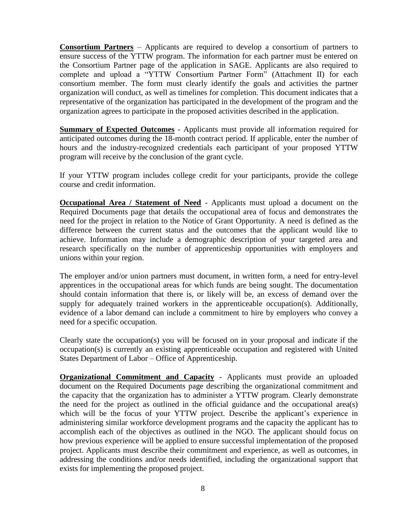**Consortium Partners** – Applicants are required to develop a consortium of partners to ensure success of the YTTW program. The information for each partner must be entered on the Consortium Partner page of the application in SAGE. Applicants are also required to complete and upload a "YTTW Consortium Partner Form" (Attachment II) for each consortium member. The form must clearly identify the goals and activities the partner organization will conduct, as well as timelines for completion. This document indicates that a representative of the organization has participated in the development of the program and the organization agrees to participate in the proposed activities described in the application.

**Summary of Expected Outcomes** - Applicants must provide all information required for anticipated outcomes during the 18-month contract period. If applicable, enter the number of hours and the industry-recognized credentials each participant of your proposed YTTW program will receive by the conclusion of the grant cycle.

If your YTTW program includes college credit for your participants, provide the college course and credit information.

**Occupational Area / Statement of Need** - Applicants must upload a document on the Required Documents page that details the occupational area of focus and demonstrates the need for the project in relation to the Notice of Grant Opportunity. A need is defined as the difference between the current status and the outcomes that the applicant would like to achieve. Information may include a demographic description of your targeted area and research specifically on the number of apprenticeship opportunities with employers and unions within your region.

The employer and/or union partners must document, in written form, a need for entry-level apprentices in the occupational areas for which funds are being sought. The documentation should contain information that there is, or likely will be, an excess of demand over the supply for adequately trained workers in the apprenticeable occupation(s). Additionally, evidence of a labor demand can include a commitment to hire by employers who convey a need for a specific occupation.

Clearly state the occupation(s) you will be focused on in your proposal and indicate if the occupation(s) is currently an existing apprenticeable occupation and registered with United States Department of Labor – Office of Apprenticeship.

**Organizational Commitment and Capacity** - Applicants must provide an uploaded document on the Required Documents page describing the organizational commitment and the capacity that the organization has to administer a YTTW program. Clearly demonstrate the need for the project as outlined in the official guidance and the occupational area(s) which will be the focus of your YTTW project. Describe the applicant's experience in administering similar workforce development programs and the capacity the applicant has to accomplish each of the objectives as outlined in the NGO. The applicant should focus on how previous experience will be applied to ensure successful implementation of the proposed project. Applicants must describe their commitment and experience, as well as outcomes, in addressing the conditions and/or needs identified, including the organizational support that exists for implementing the proposed project.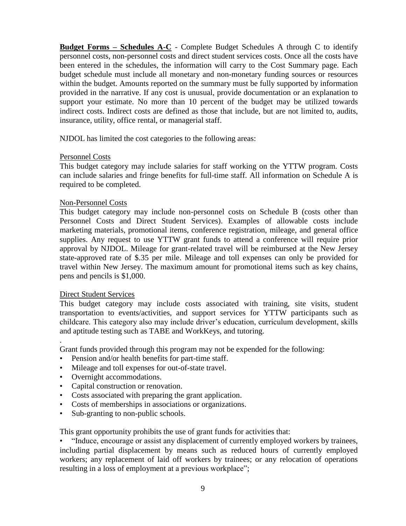**Budget Forms – Schedules A-C** - Complete Budget Schedules A through C to identify personnel costs, non-personnel costs and direct student services costs. Once all the costs have been entered in the schedules, the information will carry to the Cost Summary page. Each budget schedule must include all monetary and non-monetary funding sources or resources within the budget. Amounts reported on the summary must be fully supported by information provided in the narrative. If any cost is unusual, provide documentation or an explanation to support your estimate. No more than 10 percent of the budget may be utilized towards indirect costs. Indirect costs are defined as those that include, but are not limited to, audits, insurance, utility, office rental, or managerial staff.

NJDOL has limited the cost categories to the following areas:

#### Personnel Costs

This budget category may include salaries for staff working on the YTTW program. Costs can include salaries and fringe benefits for full-time staff. All information on Schedule A is required to be completed.

#### Non-Personnel Costs

This budget category may include non-personnel costs on Schedule B (costs other than Personnel Costs and Direct Student Services). Examples of allowable costs include marketing materials, promotional items, conference registration, mileage, and general office supplies. Any request to use YTTW grant funds to attend a conference will require prior approval by NJDOL. Mileage for grant-related travel will be reimbursed at the New Jersey state-approved rate of \$.35 per mile. Mileage and toll expenses can only be provided for travel within New Jersey. The maximum amount for promotional items such as key chains, pens and pencils is \$1,000.

#### Direct Student Services

.

This budget category may include costs associated with training, site visits, student transportation to events/activities, and support services for YTTW participants such as childcare. This category also may include driver's education, curriculum development, skills and aptitude testing such as TABE and WorkKeys, and tutoring.

Grant funds provided through this program may not be expended for the following:

- Pension and/or health benefits for part-time staff.
- Mileage and toll expenses for out-of-state travel.
- Overnight accommodations.
- Capital construction or renovation.
- Costs associated with preparing the grant application.
- Costs of memberships in associations or organizations.
- Sub-granting to non-public schools.

This grant opportunity prohibits the use of grant funds for activities that:

• "Induce, encourage or assist any displacement of currently employed workers by trainees, including partial displacement by means such as reduced hours of currently employed workers; any replacement of laid off workers by trainees; or any relocation of operations resulting in a loss of employment at a previous workplace";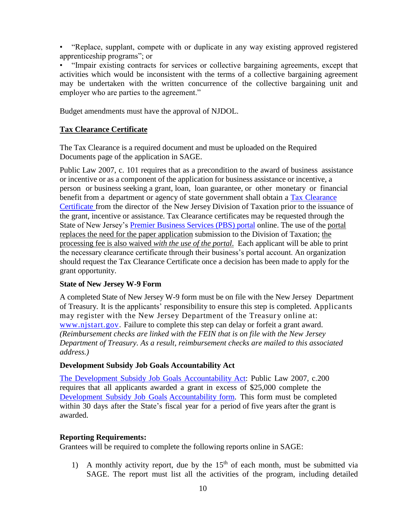• "Replace, supplant, compete with or duplicate in any way existing approved registered apprenticeship programs"; or

• "Impair existing contracts for services or collective bargaining agreements, except that activities which would be inconsistent with the terms of a collective bargaining agreement may be undertaken with the written concurrence of the collective bargaining unit and employer who are parties to the agreement."

Budget amendments must have the approval of NJDOL.

## **Tax Clearance Certificate**

The Tax Clearance is a required document and must be uploaded on the Required Documents page of the application in SAGE.

Public Law 2007, c. 101 requires that as a precondition to the award of business assistance or incentive or as a component of the application for business assistance or incentive, a person or business seeking a grant, loan, loan guarantee, or other monetary or financial benefit from a department or agency of state government shall obtain a Tax [Clearance](http://www.state.nj.us/treasury/taxation/busasst.shtml) [Certificate](http://www.state.nj.us/treasury/taxation/busasst.shtml) from the director of the New Jersey Division of Taxation prior to the issuance of the grant, incentive or assistance. Tax Clearance certificates may be requested through the State of New Jersey's **Premier Business Services (PBS)** portal online. The use of the portal replaces the need for the paper application submission to the Division of Taxation; the processing fee is also waived *with the use of the portal*. Each applicant will be able to print the necessary clearance certificate through their business's portal account. An organization should request the Tax Clearance Certificate once a decision has been made to apply for the grant opportunity.

## **State of New Jersey W-9 Form**

A completed State of New Jersey W-9 form must be on file with the New Jersey Department of Treasury. It is the applicants' responsibility to ensure this step is completed. Applicants may register with the New Jersey Department of the Treasury online at: [www.njstart.gov.](http://www.njstart.gov/) Failure to complete this step can delay or forfeit a grant award. *(Reimbursement checks are linked with the FEIN that is on file with the New Jersey Department of Treasury. As a result, reimbursement checks are mailed to this associated address.)*

## **Development Subsidy Job Goals Accountability Act**

The Development Subsidy Job Goals [Accountability](http://www.njleg.state.nj.us/2006/Bills/PL07/200_.HTM) Act: Public Law 2007, c.200 requires that all applicants awarded a grant in excess of \$25,000 complete the [Development](http://nj.gov/labor/forms_pdfs/Programs/NGO/Workforce_Training/turnerform2.pdf) Subsidy Job Goals [Accountability](http://lwd.dol.state.nj.us/labor/forms_pdfs/employer/training/turnerform2.pdf) form. This form must be completed within 30 days after the State's fiscal year for a period of five years after the grant is awarded.

## **Reporting Requirements:**

Grantees will be required to complete the following reports online in SAGE:

1) A monthly activity report, due by the  $15<sup>th</sup>$  of each month, must be submitted via SAGE. The report must list all the activities of the program, including detailed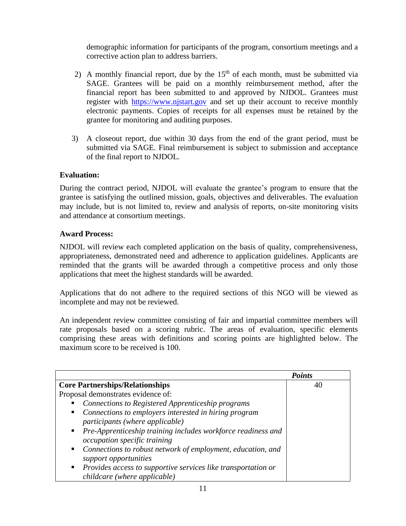demographic information for participants of the program, consortium meetings and a corrective action plan to address barriers.

- 2) A monthly financial report, due by the  $15<sup>th</sup>$  of each month, must be submitted via SAGE. Grantees will be paid on a monthly reimbursement method, after the financial report has been submitted to and approved by NJDOL. Grantees must register with [https://www.njstart.gov](https://www.njstart.gov/) and set up their account to receive monthly electronic payments. Copies of receipts for all expenses must be retained by the grantee for monitoring and auditing purposes.
- 3) A closeout report, due within 30 days from the end of the grant period, must be submitted via SAGE. Final reimbursement is subject to submission and acceptance of the final report to NJDOL.

## **Evaluation:**

During the contract period, NJDOL will evaluate the grantee's program to ensure that the grantee is satisfying the outlined mission, goals, objectives and deliverables. The evaluation may include, but is not limited to, review and analysis of reports, on-site monitoring visits and attendance at consortium meetings.

## **Award Process:**

NJDOL will review each completed application on the basis of quality, comprehensiveness, appropriateness, demonstrated need and adherence to application guidelines. Applicants are reminded that the grants will be awarded through a competitive process and only those applications that meet the highest standards will be awarded.

Applications that do not adhere to the required sections of this NGO will be viewed as incomplete and may not be reviewed.

An independent review committee consisting of fair and impartial committee members will rate proposals based on a scoring rubric. The areas of evaluation, specific elements comprising these areas with definitions and scoring points are highlighted below. The maximum score to be received is 100.

|                                                                                                        | <b>Points</b> |
|--------------------------------------------------------------------------------------------------------|---------------|
| <b>Core Partnerships/Relationships</b>                                                                 | 40            |
| Proposal demonstrates evidence of:                                                                     |               |
| Connections to Registered Apprenticeship programs<br>п                                                 |               |
| Connections to employers interested in hiring program<br>$\blacksquare$                                |               |
| participants (where applicable)                                                                        |               |
| • Pre-Apprenticeship training includes workforce readiness and<br><i>occupation specific training</i>  |               |
| Connections to robust network of employment, education, and<br>$\blacksquare$<br>support opportunities |               |
| • Provides access to supportive services like transportation or<br>childcare (where applicable)        |               |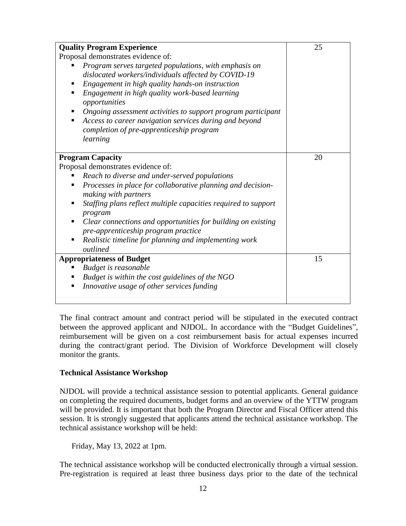| <b>Quality Program Experience</b>                                   | 25 |
|---------------------------------------------------------------------|----|
| Proposal demonstrates evidence of:                                  |    |
| Program serves targeted populations, with emphasis on               |    |
| dislocated workers/individuals affected by COVID-19                 |    |
| Engagement in high quality hands-on instruction<br>٠                |    |
| Engagement in high quality work-based learning<br>٠                 |    |
| opportunities                                                       |    |
| Ongoing assessment activities to support program participant<br>ш   |    |
| Access to career navigation services during and beyond<br>٠         |    |
| completion of pre-apprenticeship program                            |    |
| learning                                                            |    |
|                                                                     |    |
| <b>Program Capacity</b>                                             | 20 |
| Proposal demonstrates evidence of:                                  |    |
| Reach to diverse and under-served populations<br>٠                  |    |
| Processes in place for collaborative planning and decision-<br>٠    |    |
| making with partners                                                |    |
| Staffing plans reflect multiple capacities required to support<br>٠ |    |
| program                                                             |    |
| Clear connections and opportunities for building on existing<br>٠   |    |
| pre-apprenticeship program practice                                 |    |
| Realistic timeline for planning and implementing work<br>٠          |    |
| outlined                                                            |    |
| <b>Appropriateness of Budget</b>                                    | 15 |
| Budget is reasonable<br>ш                                           |    |
| Budget is within the cost guidelines of the NGO<br>٠                |    |
| Innovative usage of other services funding<br>٠                     |    |
|                                                                     |    |

The final contract amount and contract period will be stipulated in the executed contract between the approved applicant and NJDOL. In accordance with the "Budget Guidelines", reimbursement will be given on a cost reimbursement basis for actual expenses incurred during the contract/grant period. The Division of Workforce Development will closely monitor the grants.

#### **Technical Assistance Workshop**

NJDOL will provide a technical assistance session to potential applicants. General guidance on completing the required documents, budget forms and an overview of the YTTW program will be provided. It is important that both the Program Director and Fiscal Officer attend this session. It is strongly suggested that applicants attend the technical assistance workshop. The technical assistance workshop will be held:

Friday, May 13, 2022 at 1pm.

The technical assistance workshop will be conducted electronically through a virtual session. Pre-registration is required at least three business days prior to the date of the technical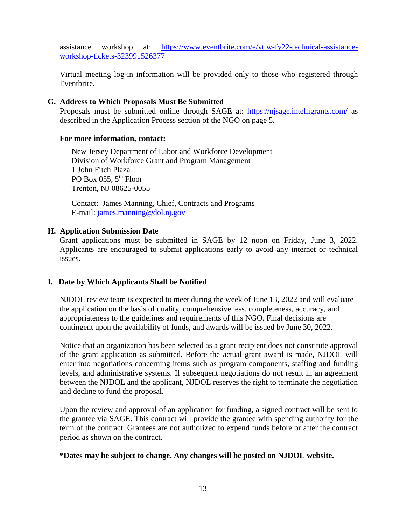assistance workshop at: [https://www.eventbrite.com/e/yttw-fy22-technical-assistance](https://www.eventbrite.com/e/yttw-fy22-technical-assistance-workshop-tickets-323991526377)[workshop-tickets-323991526377](https://www.eventbrite.com/e/yttw-fy22-technical-assistance-workshop-tickets-323991526377)

Virtual meeting log-in information will be provided only to those who registered through Eventbrite.

## **G. Address to Which Proposals Must Be Submitted**

Proposals must be submitted online through SAGE at: <https://njsage.intelligrants.com/> as described in the Application Process section of the NGO on page 5.

#### **For more information, contact:**

New Jersey Department of Labor and Workforce Development Division of Workforce Grant and Program Management 1 John Fitch Plaza PO Box 055, 5<sup>th</sup> Floor Trenton, NJ 08625-0055

 Contact: James Manning, Chief, Contracts and Programs E-mail: [james.manning@dol.nj.gov](mailto:james.manning@dol.nj.gov)

#### **H. Application Submission Date**

Grant applications must be submitted in SAGE by 12 noon on Friday, June 3, 2022. Applicants are encouraged to submit applications early to avoid any internet or technical issues.

## **I. Date by Which Applicants Shall be Notified**

NJDOL review team is expected to meet during the week of June 13, 2022 and will evaluate the application on the basis of quality, comprehensiveness, completeness, accuracy, and appropriateness to the guidelines and requirements of this NGO. Final decisions are contingent upon the availability of funds, and awards will be issued by June 30, 2022.

Notice that an organization has been selected as a grant recipient does not constitute approval of the grant application as submitted. Before the actual grant award is made, NJDOL will enter into negotiations concerning items such as program components, staffing and funding levels, and administrative systems. If subsequent negotiations do not result in an agreement between the NJDOL and the applicant, NJDOL reserves the right to terminate the negotiation and decline to fund the proposal.

Upon the review and approval of an application for funding, a signed contract will be sent to the grantee via SAGE. This contract will provide the grantee with spending authority for the term of the contract. Grantees are not authorized to expend funds before or after the contract period as shown on the contract.

#### **\*Dates may be subject to change. Any changes will be posted on NJDOL website.**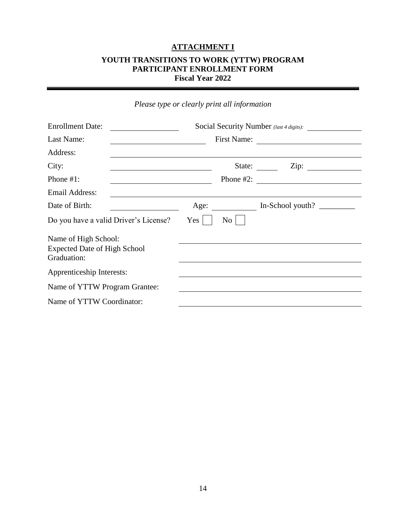## **ATTACHMENT I**

## **YOUTH TRANSITIONS TO WORK (YTTW) PROGRAM PARTICIPANT ENROLLMENT FORM Fiscal Year 2022**

|                                                                            | <i>rease type or clearly print an information</i> |             |                         |  |
|----------------------------------------------------------------------------|---------------------------------------------------|-------------|-------------------------|--|
| <b>Enrollment Date:</b>                                                    | Social Security Number (last 4 digits):           |             |                         |  |
| Last Name:                                                                 |                                                   | First Name: |                         |  |
| Address:                                                                   |                                                   |             |                         |  |
| City:<br><u> 1989 - Johann Stoff, Amerikaansk politiker († 1908)</u>       |                                                   |             | State: <u>Zip:</u> Zip: |  |
| Phone $#1$ :<br><u> 1989 - Johann Barbara, martin a</u>                    |                                                   |             |                         |  |
| Email Address:                                                             |                                                   |             |                         |  |
| Date of Birth:                                                             |                                                   |             | Age: In-School youth?   |  |
| Do you have a valid Driver's License?                                      | $Yes \mid$                                        | No          |                         |  |
| Name of High School:<br><b>Expected Date of High School</b><br>Graduation: |                                                   |             |                         |  |
| Apprenticeship Interests:                                                  |                                                   |             |                         |  |
| Name of YTTW Program Grantee:                                              |                                                   |             |                         |  |
| Name of YTTW Coordinator:                                                  |                                                   |             |                         |  |

*Please type or clearly print all information*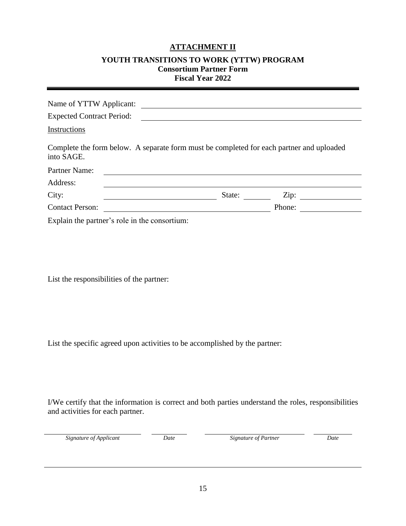## **ATTACHMENT II**

#### **YOUTH TRANSITIONS TO WORK (YTTW) PROGRAM Consortium Partner Form Fiscal Year 2022**

| Name of YTTW Applicant:                                                                                |        |        |
|--------------------------------------------------------------------------------------------------------|--------|--------|
| <b>Expected Contract Period:</b>                                                                       |        |        |
| Instructions                                                                                           |        |        |
| Complete the form below. A separate form must be completed for each partner and uploaded<br>into SAGE. |        |        |
| Partner Name:                                                                                          |        |        |
| Address:                                                                                               |        |        |
| City:                                                                                                  | State: | Zip:   |
| <b>Contact Person:</b>                                                                                 |        | Phone: |
| Explain the partner's role in the consortium:                                                          |        |        |

List the responsibilities of the partner:

List the specific agreed upon activities to be accomplished by the partner:

I/We certify that the information is correct and both parties understand the roles, responsibilities and activities for each partner.

|  |  | Signature of Applicant |
|--|--|------------------------|
|--|--|------------------------|

*Date Signature of Partner Date*